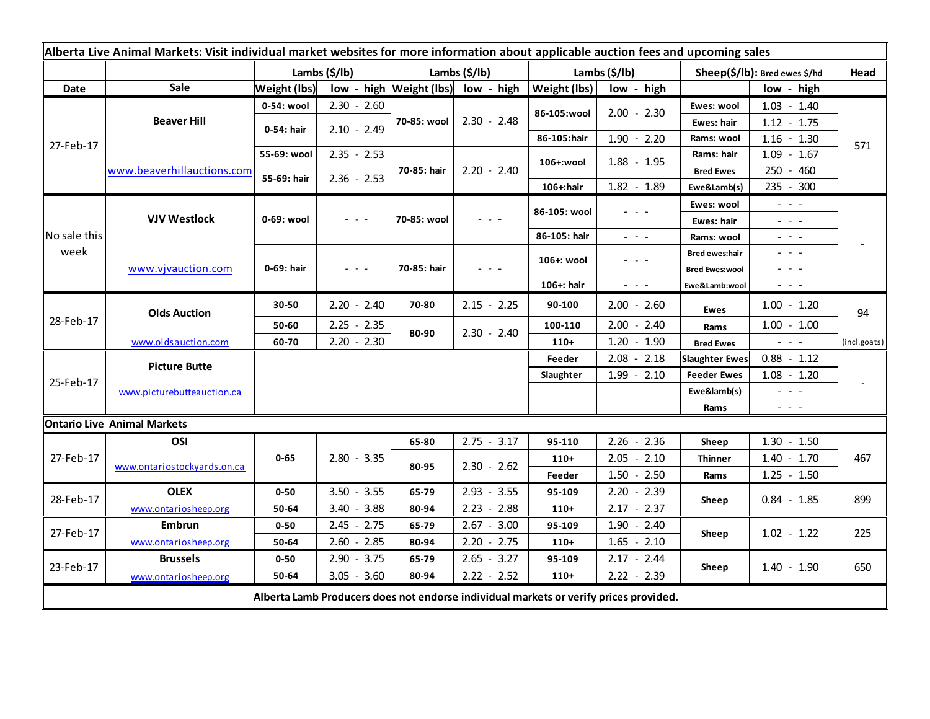| Alberta Live Animal Markets: Visit individual market websites for more information about applicable auction fees and upcoming sales |                             |                     |               |                         |               |               |                                                                                                                           |                               |                                                                                                                           |              |  |
|-------------------------------------------------------------------------------------------------------------------------------------|-----------------------------|---------------------|---------------|-------------------------|---------------|---------------|---------------------------------------------------------------------------------------------------------------------------|-------------------------------|---------------------------------------------------------------------------------------------------------------------------|--------------|--|
|                                                                                                                                     |                             | Lambs (\$/lb)       |               | Lambs $(\frac{2}{3})$   |               | Lambs (\$/lb) |                                                                                                                           | Sheep(\$/lb): Bred ewes \$/hd |                                                                                                                           | Head         |  |
| Date                                                                                                                                | <b>Sale</b>                 | <b>Weight (lbs)</b> |               | low - high Weight (lbs) | low - high    | Weight (lbs)  | low - high                                                                                                                |                               | low - high                                                                                                                |              |  |
| 27-Feb-17                                                                                                                           | <b>Beaver Hill</b>          | 0-54: wool          | $2.30 - 2.60$ |                         | $2.30 - 2.48$ |               | $2.00 - 2.30$                                                                                                             | Ewes: wool                    | $1.03 - 1.40$                                                                                                             | 571          |  |
|                                                                                                                                     |                             | 0-54: hair          | $2.10 - 2.49$ | 70-85: wool             |               | 86-105:wool   |                                                                                                                           | Ewes: hair                    | $1.12 - 1.75$                                                                                                             |              |  |
|                                                                                                                                     |                             |                     |               |                         |               | 86-105:hair   | $1.90 - 2.20$                                                                                                             | Rams: wool                    | $1.16 - 1.30$                                                                                                             |              |  |
|                                                                                                                                     | www.beaverhillauctions.com  | 55-69: wool         | $2.35 - 2.53$ | 70-85: hair             | $2.20 - 2.40$ | 106+:wool     | $1.88 - 1.95$                                                                                                             | Rams: hair                    | $1.09 - 1.67$                                                                                                             |              |  |
|                                                                                                                                     |                             | 55-69: hair         | $2.36 - 2.53$ |                         |               |               |                                                                                                                           | <b>Bred Ewes</b>              | 250 - 460                                                                                                                 |              |  |
|                                                                                                                                     |                             |                     |               |                         |               | 106+:hair     | 1.82 - 1.89                                                                                                               | Ewe&Lamb(s)                   | 235 - 300                                                                                                                 |              |  |
| No sale this<br>week                                                                                                                | <b>VJV Westlock</b>         | 0-69: wool          |               | 70-85: wool             |               | 86-105: wool  |                                                                                                                           | Ewes: wool                    | $\frac{1}{2} \left( \frac{1}{2} \right) \left( \frac{1}{2} \right) \left( \frac{1}{2} \right) \left( \frac{1}{2} \right)$ |              |  |
|                                                                                                                                     |                             |                     | $  -$         |                         |               |               |                                                                                                                           | Ewes: hair                    | $  -$                                                                                                                     |              |  |
|                                                                                                                                     |                             |                     |               |                         |               | 86-105: hair  | $\omega_{\rm{eff}}$ , $\omega_{\rm{eff}}$ , $\omega_{\rm{eff}}$                                                           | Rams: wool                    | $\frac{1}{2} \left( \frac{1}{2} \right) = \frac{1}{2} \left( \frac{1}{2} \right)$                                         |              |  |
|                                                                                                                                     | www.vjvauction.com          | 0-69: hair          |               | 70-85: hair             |               | 106+: wool    |                                                                                                                           | <b>Bred ewes:hair</b>         | $\omega_{\rm{eff}}$ and $\omega_{\rm{eff}}$                                                                               |              |  |
|                                                                                                                                     |                             |                     | - - -         |                         |               |               |                                                                                                                           | <b>Bred Ewes:wool</b>         | $  -$                                                                                                                     |              |  |
|                                                                                                                                     |                             |                     |               |                         |               | 106+: hair    | $\frac{1}{2} \left( \frac{1}{2} \right) \left( \frac{1}{2} \right) \left( \frac{1}{2} \right) \left( \frac{1}{2} \right)$ | Ewe&Lamb:wool                 | $\frac{1}{2} \left( \frac{1}{2} \right) \left( \frac{1}{2} \right) \left( \frac{1}{2} \right) \left( \frac{1}{2} \right)$ |              |  |
| 28-Feb-17                                                                                                                           | <b>Olds Auction</b>         | 30-50               | $2.20 - 2.40$ | 70-80                   | $2.15 - 2.25$ | 90-100        | $2.00 - 2.60$                                                                                                             | <b>Ewes</b>                   | $1.00 - 1.20$                                                                                                             | 94           |  |
|                                                                                                                                     |                             | 50-60               | $2.25 - 2.35$ | 80-90                   | $2.30 - 2.40$ | 100-110       | $2.00 - 2.40$                                                                                                             | Rams                          | $1.00 - 1.00$                                                                                                             |              |  |
|                                                                                                                                     | www.oldsauction.com         | 60-70               | $2.20 - 2.30$ |                         |               | $110+$        | $1.20 - 1.90$                                                                                                             | <b>Bred Ewes</b>              | $\sim$ $\sim$ $\sim$                                                                                                      | (incl.goats) |  |
| 25-Feb-17                                                                                                                           | <b>Picture Butte</b>        |                     |               |                         |               | Feeder        | $2.08 - 2.18$                                                                                                             | <b>Slaughter Ewes</b>         | $0.88 - 1.12$                                                                                                             |              |  |
|                                                                                                                                     |                             |                     |               |                         | Slaughter     | $1.99 - 2.10$ | <b>Feeder Ewes</b>                                                                                                        | $1.08 - 1.20$                 |                                                                                                                           |              |  |
|                                                                                                                                     | www.picturebutteauction.ca  |                     |               |                         |               |               |                                                                                                                           | Ewe&lamb(s)                   | $\omega_{\rm{eff}}=0.1$                                                                                                   |              |  |
|                                                                                                                                     |                             |                     |               |                         |               |               |                                                                                                                           | Rams                          | $\frac{1}{2} \left( \frac{1}{2} \right) \frac{1}{2} \left( \frac{1}{2} \right) \frac{1}{2} \left( \frac{1}{2} \right)$    |              |  |
| <b>Ontario Live Animal Markets</b>                                                                                                  |                             |                     |               |                         |               |               |                                                                                                                           |                               |                                                                                                                           |              |  |
| 27-Feb-17                                                                                                                           | OSI                         |                     |               | 65-80                   | $2.75 - 3.17$ | 95-110        | $2.26 -$<br>2.36                                                                                                          | Sheep                         | $1.30 - 1.50$                                                                                                             |              |  |
|                                                                                                                                     | www.ontariostockyards.on.ca | $0 - 65$            | $2.80 - 3.35$ | 80-95                   | $2.30 - 2.62$ | $110+$        | $2.05 - 2.10$                                                                                                             | <b>Thinner</b>                | $1.40 - 1.70$                                                                                                             | 467          |  |
|                                                                                                                                     |                             |                     |               |                         |               | Feeder        | $1.50 - 2.50$                                                                                                             | Rams                          | $1.25 - 1.50$                                                                                                             |              |  |
| 28-Feb-17                                                                                                                           | <b>OLEX</b>                 | $0 - 50$            | $3.50 - 3.55$ | 65-79                   | $2.93 - 3.55$ | 95-109        | $2.20 - 2.39$                                                                                                             | Sheep                         | $0.84 - 1.85$                                                                                                             | 899          |  |
|                                                                                                                                     | www.ontariosheep.org        | 50-64               | $3.40 - 3.88$ | 80-94                   | $2.23 - 2.88$ | $110+$        | $2.17 - 2.37$                                                                                                             |                               |                                                                                                                           |              |  |
| 27-Feb-17                                                                                                                           | <b>Embrun</b>               | $0 - 50$            | $2.45 - 2.75$ | 65-79                   | $2.67 - 3.00$ | 95-109        | $1.90 - 2.40$                                                                                                             | Sheep                         | $1.02 - 1.22$                                                                                                             | 225          |  |
|                                                                                                                                     | www.ontariosheep.org        | 50-64               | $2.60 - 2.85$ | 80-94                   | $2.20 - 2.75$ | $110+$        | $1.65 - 2.10$                                                                                                             |                               |                                                                                                                           |              |  |
| 23-Feb-17                                                                                                                           | <b>Brussels</b>             | $0 - 50$            | $2.90 - 3.75$ | 65-79                   | $2.65 - 3.27$ | 95-109        | $2.17 - 2.44$                                                                                                             | Sheep                         | $1.40 - 1.90$                                                                                                             | 650          |  |
|                                                                                                                                     | www.ontariosheep.org        | 50-64               | $3.05 - 3.60$ | 80-94                   | $2.22 - 2.52$ | $110+$        | $2.22 - 2.39$                                                                                                             |                               |                                                                                                                           |              |  |
| Alberta Lamb Producers does not endorse individual markets or verify prices provided.                                               |                             |                     |               |                         |               |               |                                                                                                                           |                               |                                                                                                                           |              |  |